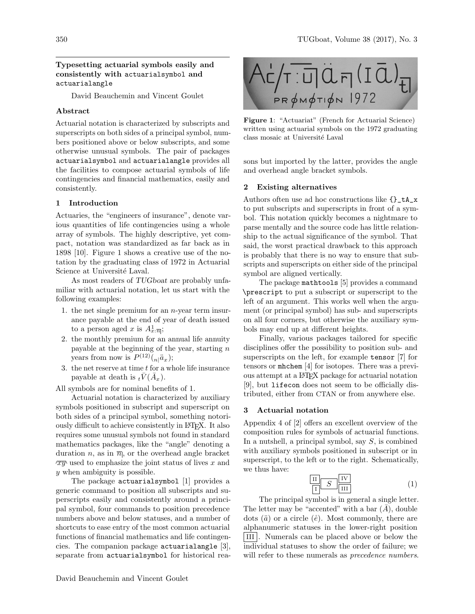# Typesetting actuarial symbols easily and consistently with actuarialsymbol and actuarialangle

David Beauchemin and Vincent Goulet

## Abstract

Actuarial notation is characterized by subscripts and superscripts on both sides of a principal symbol, numbers positioned above or below subscripts, and some otherwise unusual symbols. The pair of packages actuarialsymbol and actuarialangle provides all the facilities to compose actuarial symbols of life contingencies and financial mathematics, easily and consistently.

# 1 Introduction

Actuaries, the "engineers of insurance", denote various quantities of life contingencies using a whole array of symbols. The highly descriptive, yet compact, notation was standardized as far back as in 1898 [\[10\]](#page-3-0). [Figure 1](#page-0-0) shows a creative use of the notation by the graduating class of 1972 in Actuarial Science at Université Laval.

As most readers of TUGboat are probably unfamiliar with actuarial notation, let us start with the following examples:

- 1. the net single premium for an  $n$ -year term insurance payable at the end of year of death issued to a person aged x is  $A_x^1$ : $\overline{n}$ ;
- 2. the monthly premium for an annual life annuity payable at the beginning of the year, starting  $n$ years from now is  $P^{(12)}({}_{n}|\ddot{a}_x);$
- 3. the net reserve at time  $t$  for a whole life insurance payable at death is  ${}_{t}\bar{V}(\bar{A}_x)$ .

All symbols are for nominal benefits of 1.

Actuarial notation is characterized by auxiliary symbols positioned in subscript and superscript on both sides of a principal symbol, something notoriously difficult to achieve consistently in LATEX. It also requires some unusual symbols not found in standard mathematics packages, like the "angle" denoting a duration n, as in  $\overline{n}$ , or the overhead angle bracket  $\overline{xy}$  used to emphasize the joint status of lives x and y when ambiguity is possible.

The package actuarialsymbol [\[1\]](#page-3-1) provides a generic command to position all subscripts and superscripts easily and consistently around a principal symbol, four commands to position precedence numbers above and below statuses, and a number of shortcuts to ease entry of the most common actuarial functions of financial mathematics and life contingencies. The companion package actuarialangle [\[3\]](#page-3-2), separate from actuarialsymbol for historical rea-



Figure 1: "Actuariat" (French for Actuarial Science) written using actuarial symbols on the 1972 graduating class mosaic at Université Laval

<span id="page-0-0"></span>sons but imported by the latter, provides the angle and overhead angle bracket symbols.

## 2 Existing alternatives

Authors often use ad hoc constructions like {}\_tA\_x to put subscripts and superscripts in front of a symbol. This notation quickly becomes a nightmare to parse mentally and the source code has little relationship to the actual significance of the symbol. That said, the worst practical drawback to this approach is probably that there is no way to ensure that subscripts and superscripts on either side of the principal symbol are aligned vertically.

The package mathtools [\[5\]](#page-3-3) provides a command \prescript to put a subscript or superscript to the left of an argument. This works well when the argument (or principal symbol) has sub- and superscripts on all four corners, but otherwise the auxiliary symbols may end up at different heights.

Finally, various packages tailored for specific disciplines offer the possibility to position sub- and superscripts on the left, for example tensor [\[7\]](#page-3-4) for tensors or mhchem [\[4\]](#page-3-5) for isotopes. There was a previous attempt at a LATEX package for actuarial notation [\[9\]](#page-3-6), but lifecon does not seem to be officially distributed, either from CTAN or from anywhere else.

# 3 Actuarial notation

Appendix 4 of [\[2\]](#page-3-7) offers an excellent overview of the composition rules for symbols of actuarial functions. In a nutshell, a principal symbol, say  $S$ , is combined with auxiliary symbols positioned in subscript or in superscript, to the left or to the right. Schematically, we thus have:

<span id="page-0-1"></span>
$$
\begin{array}{c|c}\n\hline\n\text{II} & S & \text{IV} \\
\hline\n\text{I} & \text{III}\n\end{array}\n\tag{1}
$$

The principal symbol is in general a single letter. The letter may be "accented" with a bar  $(A)$ , double dots  $(\ddot{a})$  or a circle  $(\dot{e})$ . Most commonly, there are alphanumeric statuses in the lower-right position III . Numerals can be placed above or below the individual statuses to show the order of failure; we will refer to these numerals as *precedence numbers*.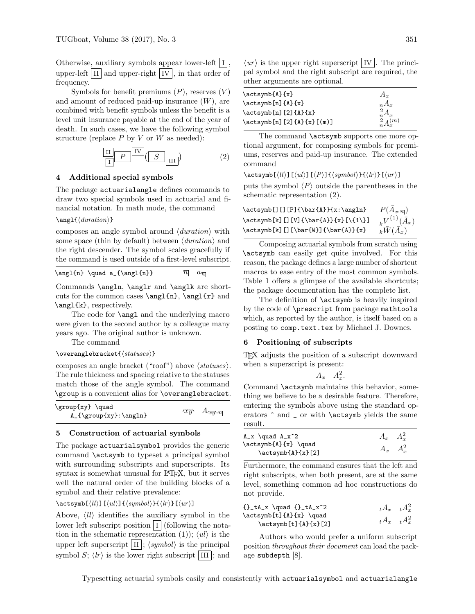Otherwise, auxiliary symbols appear lower-left  $|I|$ , upper-left  $\overline{II}$  and upper-right  $\overline{IV}$ , in that order of frequency.

Symbols for benefit premiums  $(P)$ , reserves  $(V)$ and amount of reduced paid-up insurance  $(W)$ , are combined with benefit symbols unless the benefit is a level unit insurance payable at the end of the year of death. In such cases, we have the following symbol structure (replace  $P$  by  $V$  or  $W$  as needed):

<span id="page-1-0"></span>
$$
\frac{\boxed{II}}{\boxed{I}} \boxed{P} \frac{\boxed{IV}}{\boxed{S}} \boxed{III}
$$
 (2)

# 4 Additional special symbols

The package actuarialangle defines commands to draw two special symbols used in actuarial and financial notation. In math mode, the command

#### $\langle$  \angl{\duration\}}

composes an angle symbol around  $\langle duration \rangle$  with some space (thin by default) between  $\langle duration \rangle$  and the right descender. The symbol scales gracefully if the command is used outside of a first-level subscript.

| $\angl{n} \quad a_{\angl{n}}$ | $\overline{n}$ $a_{\overline{n}}$ |
|-------------------------------|-----------------------------------|
|-------------------------------|-----------------------------------|

Commands \angln, \anglr and \anglk are shortcuts for the common cases  $\angle\{n\}$ ,  $\angle\{r\}$  and \angl{k}, respectively.

The code for **\angl** and the underlying macro were given to the second author by a colleague many years ago. The original author is unknown.

The command

 $\overline{\backslash}$ overanglebracket $\{\langle \mathit{statuses} \rangle\}$ 

composes an angle bracket ("roof") above  $\langle \mathit{statuses} \rangle$ . The rule thickness and spacing relative to the statuses match those of the angle symbol. The command \group is a convenient alias for \overanglebracket.

| \group{xy} \quad<br>$A_{\scriptsize\text{xy}}:\angl{n}$ |  | $\sqrt{xy}$ $A_{\overline{xy}:\overline{n}}$ |
|---------------------------------------------------------|--|----------------------------------------------|
|---------------------------------------------------------|--|----------------------------------------------|

## 5 Construction of actuarial symbols

The package actuarialsymbol provides the generic command \actsymb to typeset a principal symbol with surrounding subscripts and superscripts. Its syntax is somewhat unusual for LATEX, but it serves well the natural order of the building blocks of a symbol and their relative prevalence:

 $\text{S}(ll)$ ][ $\langle ul \rangle$ ]{ $\langle symbol \rangle$ }[ $\langle lr \rangle$ ][ $\langle ur \rangle$ ]

Above,  $\langle ll \rangle$  identifies the auxiliary symbol in the lower left subscript position  $|I|$  (following the nota-tion in the schematic representation [\(1\)](#page-0-1));  $\langle ul \rangle$  is the upper left superscript  $\vert \text{II} \vert$ ;  $\langle \text{symbol} \rangle$  is the principal symbol S;  $\langle lr \rangle$  is the lower right subscript III ; and

 $\langle ur \rangle$  is the upper right superscript IV. pal symbol and the right subscript are required, the other arguments are optional.

The command **\actsymb** supports one more optional argument, for composing symbols for premiums, reserves and paid-up insurance. The extended command

 $\texttt{\&ctsymb}$ [ $\langle ll \rangle$ ][ $\langle ll \rangle$ ][ $\langle Pynbol \rangle$ ]{ $\langle lr \rangle$ ][ $\langle ur \rangle$ ]

puts the symbol  $\langle P \rangle$  outside the parentheses in the schematic representation [\(2\)](#page-1-0).

| \actsymb[][][P]{\bar{A}}{x:\angln}  | $P(\overline{A}_{x:\overline{n}})$ |
|-------------------------------------|------------------------------------|
| \actsymb[k][][V]{\bar{A}}{x}[\{1\}] | $_{k}V^{\{1\}}(\bar{A}_{x})$       |
| \actsymb[k][][\bar{W}]{\bar{A}}{x}  | $k\overline{W(A_x)}$               |

Composing actuarial symbols from scratch using \actsymb can easily get quite involved. For this reason, the package defines a large number of shortcut macros to ease entry of the most common symbols. [Table 1](#page-2-0) offers a glimpse of the available shortcuts; the package documentation has the complete list.

The definition of \actsymb is heavily inspired by the code of \prescript from package mathtools which, as reported by the author, is itself based on a posting to comp.text.tex by Michael J. Downes.

### 6 Positioning of subscripts

TEX adjusts the position of a subscript downward when a superscript is present:

$$
A_x \quad A_x^2
$$

.

Command \actsymb maintains this behavior, something we believe to be a desirable feature. Therefore, entering the symbols above using the standard operators  $\hat{\ }$  and  $\hat{\ }$  or with  $\$ actsymb yields the same result.

| $A_x \quad \quad A_x^2$                                        | $A_x$ $A_x^2$     |  |
|----------------------------------------------------------------|-------------------|--|
| $\text{x} \qquad \text{if } x$<br>$\text{acksymbol{A}\{x\}[2]$ | $A_x \quad A_x^2$ |  |

Furthermore, the command ensures that the left and right subscripts, when both present, are at the same level, something common ad hoc constructions do not provide.

| $\{\} _tA_x \quad \quad \{\} _tA_x^2$       | $tA_x$ $tA_x^2$ |  |
|---------------------------------------------|-----------------|--|
| $\text{distymb}[t]{A}{x} \quad \text{quad}$ |                 |  |
| \actsymb[t]{A}{x}[2]                        | $tA_x$ $tA_x^2$ |  |

Authors who would prefer a uniform subscript position throughout their document can load the package subdepth [\[8\]](#page-3-8).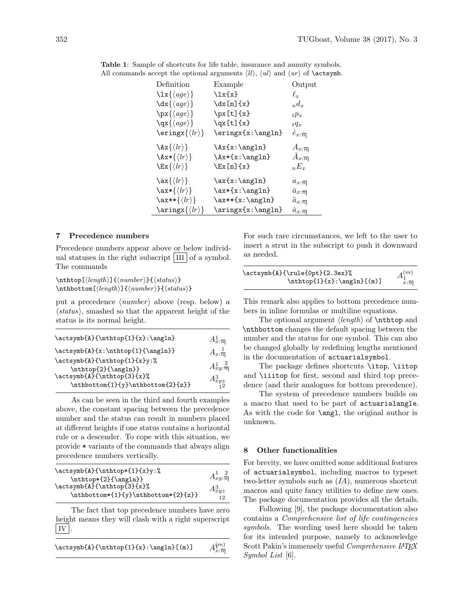<span id="page-2-0"></span>

| Definition                                              | Example             | Output                          |
|---------------------------------------------------------|---------------------|---------------------------------|
| $\{\langle age \rangle\}$                               | $\iota x\{x\}$      | $\ell_{\bm{x}}$                 |
| $\{\langle age \rangle\}$                               | $\dx[n]{x}$         | $n d_x$                         |
| $\{ \langle age \rangle \}$                             | $\px[t]{x}$         | $E_{t}p_{x}$                    |
|                                                         | $\qquad x[t]{x}$    | $tq_x$                          |
| $\text{script}(\langle lr \rangle)$                     | \eringx{x:\angln}   | $\check{e}_{x:\overline{n}}$    |
| $\lambda x \{ \langle lr \rangle \}$                    | $\\x\{x:\\angl n\}$ | $A_{x:\overline{n}}$            |
| $\{\langle l r \rangle\}$                               | $\{\x:\\angl n\}$   | $A_{x:\overline{n}}$            |
| $\text{Ex}\{\langle lr\rangle\}$                        | $\text{Ex}[n]$ {x}  | $E_{\rm r}$                     |
| $\text{ax} \{\langle lr \rangle\}$                      | $\ax\{x:\angl n\}$  | $a_{x:\overline{n}}$            |
| $\text{\\x*\{\langle lr\rangle\}}$                      | $\ax*\{x:\angl n\}$ | $\overline{a}_{x:\overline{n}}$ |
| $\text{~}\langle lr \rangle$                            | $\ax**{x:\angl n}$  | $\ddot{a}_{x:\overline{n}}$     |
| $\langle \text{array}\rangle \langle \text{lr} \rangle$ | \aringx{x:\angln}   | $a_{x:\overline{n}}$            |

Table 1: Sample of shortcuts for life table, insurance and annuity symbols. All commands accept the optional arguments  $\langle ll \rangle$ ,  $\langle ul \rangle$  and  $\langle ur \rangle$  of **\actsymb.** 

### 7 Precedence numbers

Precedence numbers appear above or below individual statuses in the right subscript  $\vert$  III  $\vert$  of a symbol. The commands

 $\th$ thtop[ $\langle length \rangle$ ]{ $\langle number \rangle$ }{ $\langle status \rangle$ }  $\th$ bottom[ $\langle length \rangle$ ]{ $\langle number \rangle$ }{ $\langle status \rangle$ }

put a precedence  $\langle number \rangle$  above (resp. below) a  $\langle status \rangle$ , smashed so that the apparent height of the status is its normal height.

| \actsymb{A}{\nthtop{1}{x}:\angln}                 | $A_x^1_{\overline{n}}$ |
|---------------------------------------------------|------------------------|
| \actsymb{A}{x:\nthtop{1}{\angln}}                 | $A_{x: \overline{n}}$  |
| \actsymb{A}{\nthtop{1}{x}y:%                      | $A_{xy}^1,\frac{2}{n}$ |
| \nthtop{2}{\angln}}<br>\actsymb{A}{\nthtop{3}{x}% |                        |
| \nthbottom{1}{y}\nthbottom{2}{z}}                 | $A^3_{xyz}\atop 12}$   |

As can be seen in the third and fourth examples above, the constant spacing between the precedence number and the status can result in numbers placed at different heights if one status contains a horizontal rule or a descender. To cope with this situation, we provide \* variants of the commands that always align precedence numbers vertically.

| \actsymb{A}{\nthtop*{1}{x}y:%       |                      |
|-------------------------------------|----------------------|
| $\thtop*[2]{\angl}_$                | $A_{xy:}\frac{2}{n}$ |
| \actsymb{A}{\nthtop{3}{x}%          | $A_{xyz}^3$          |
| \nthbottom*{1}{y}\nthbottom*{2}{z}} | 12                   |
|                                     |                      |

The fact that top precedence numbers have zero height means they will clash with a right superscript IV .

| $\actsymb{A}{\nthtop{1}{x}:\\angIn{(\m)}$ | $A^{\{m\}}_{x:\,\overline{n} }$ |
|-------------------------------------------|---------------------------------|
|-------------------------------------------|---------------------------------|

For such rare circumstances, we left to the user to insert a strut in the subscript to push it downward as needed.

| \actsymb{A}{\rule{0pt}{2.3ex}%  | $A_1^{(m)}$      |
|---------------------------------|------------------|
| $\thtop{1}{x}: \ang{ln}[ (m) ]$ | $x:\overline{n}$ |

This remark also applies to bottom precedence numbers in inline formulas or multiline equations.

The optional argument  $\langle length \rangle$  of  $\nthtt{op}$  and \nthbottom changes the default spacing between the number and the status for one symbol. This can also be changed globally by redefining lengths mentioned in the documentation of actuarialsymbol.

The package defines shortcuts \itop, \iitop and \iiitop for first, second and third top precedence (and their analogues for bottom precedence).

The system of precedence numbers builds on a macro that used to be part of actuarialangle. As with the code for \angl, the original author is unknown.

#### 8 Other functionalities

For brevity, we have omitted some additional features of actuarialsymbol, including macros to typeset two-letter symbols such as  $(IA)$ , numerous shortcut macros and quite fancy utilities to define new ones. The package documentation provides all the details.

Following [\[9\]](#page-3-6), the package documentation also contains a Comprehensive list of life contingencies symbols. The wording used here should be taken for its intended purpose, namely to acknowledge Scott Pakin's immensely useful Comprehensive L<sup>A</sup>TEX Symbol List [\[6\]](#page-3-9).